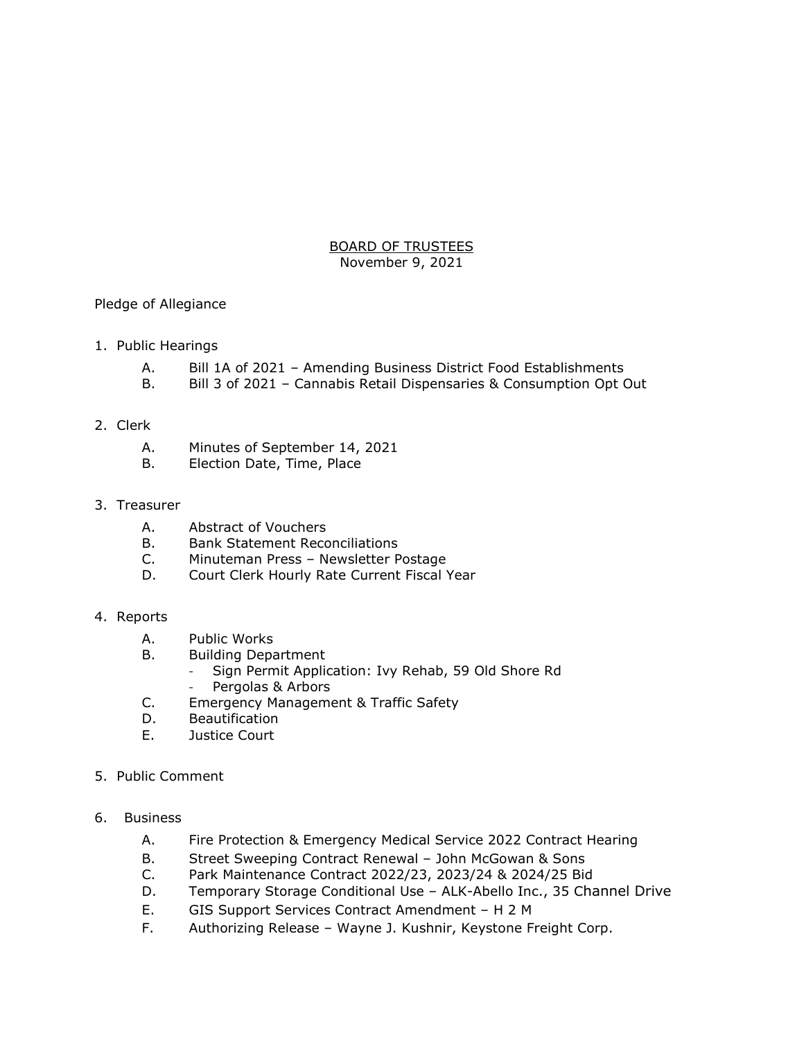## BOARD OF TRUSTEES November 9, 2021

Pledge of Allegiance

- 1. Public Hearings
	- A. Bill 1A of 2021 Amending Business District Food Establishments
	- B. Bill 3 of 2021 Cannabis Retail Dispensaries & Consumption Opt Out
- 2. Clerk
	- A. Minutes of September 14, 2021
	- B. Election Date, Time, Place
- 3. Treasurer
	- A. Abstract of Vouchers
	- B. Bank Statement Reconciliations
	- C. Minuteman Press Newsletter Postage
	- D. Court Clerk Hourly Rate Current Fiscal Year
- 4. Reports
	- A. Public Works
	- B. Building Department
		- Sign Permit Application: Ivy Rehab, 59 Old Shore Rd
		- Pergolas & Arbors
	- C. Emergency Management & Traffic Safety
	- D. Beautification
	- E. Justice Court
- 5. Public Comment
- 6. Business
	- A. Fire Protection & Emergency Medical Service 2022 Contract Hearing
	- B. Street Sweeping Contract Renewal John McGowan & Sons
	- C. Park Maintenance Contract 2022/23, 2023/24 & 2024/25 Bid
	- D. Temporary Storage Conditional Use ALK-Abello Inc., 35 Channel Drive
	- E. GIS Support Services Contract Amendment H 2 M
	- F. Authorizing Release Wayne J. Kushnir, Keystone Freight Corp.